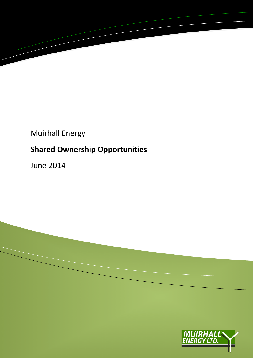

## Muirhall Energy

# **Shared Ownership Opportunities**

June 2014



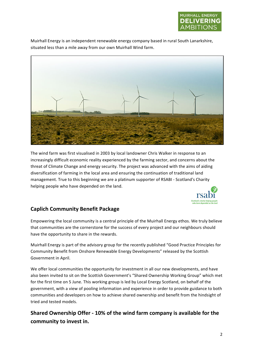

Muirhall Energy is an independent renewable energy company based in rural South Lanarkshire, situated less than a mile away from our own Muirhall Wind farm.



The wind farm was first visualised in 2003 by local landowner Chris Walker in response to an increasingly difficult economic reality experienced by the farming sector, and concerns about the threat of Climate Change and energy security. The project was advanced with the aims of aiding diversification of farming in the local area and ensuring the continuation of traditional land management. True to this beginning we are a platinum supporter of RSABI - Scotland's Charity helping people who have depended on the land.



#### **Caplich Community Benefit Package**

Empowering the local community is a central principle of the Muirhall Energy ethos. We truly believe that communities are the cornerstone for the success of every project and our neighbours should have the opportunity to share in the rewards.

Muirhall Energy is part of the advisory group for the recently published "Good Practice Principles for Community Benefit from Onshore Renewable Energy Developments" released by the Scottish Government in April.

We offer local communities the opportunity for investment in all our new developments, and have also been invited to sit on the Scottish Government's "Shared Ownership Working Group" which met for the first time on 5 June. This working group is led by Local Energy Scotland, on behalf of the government, with a view of pooling information and experience in order to provide guidance to both communities and developers on how to achieve shared ownership and benefit from the hindsight of tried and tested models.

Shared Ownership Offer - 10% of the wind farm company is available for the community to invest in.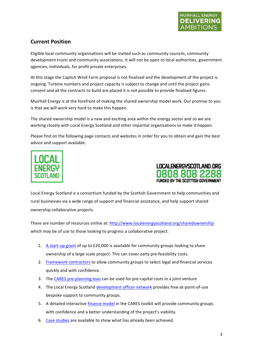### **Current Position**

Eligible local community organisations will be invited such as community councils, community development trusts and community associations. It will not be open to local authorities, government agencies, individuals, for profit private enterprises.

At this stage the Caplich Wind Farm proposal is not finalised and the development of the project is ongoing. Turbine numbers and project capacity is subject to change and until the project gains consent and all the contracts to build are placed it is not possible to provide finalised figures.

Muirhall Energy is at the forefront of making the shared ownership model work. Our promise to you is that we will work very hard to make this happen.

The shared ownership model is a new and exciting area within the energy sector and so we are working closely with Local Energy Scotland and other impartial organisations to make it happen.

Please find on the following page contacts and websites in order for you to obtain and gain the best advice and support available.





Local Energy Scotland is a consortium funded by the Scottish Government to help communities and rural businesses via a wide range of support and financial assistance, and help support shared ownership collaborative projects.

There are number of resources online at: http://www.localenergyscotland.org/sharedownership which may be of use to those looking to progress a collaborative project:

- 1. A start-up grant of up to £20,000 is available for community groups looking to share ownership of a large scale project. This can cover early pre-feasibility costs.
- 2. Framework contractors to allow community groups to select legal and financial services quickly and with confidence.
- 3. The CARES pre-planning loan can be used for pre-capital costs in a joint venture
- 4. The Local Energy Scotland development officer network provides free-at-point-of-use bespoke support to community groups.
- 5. A detailed interactive finance model in the CARES toolkit will provide community groups with confidence and a better understanding of the project's viability.
- 6. Case studies are available to show what has already been achieved.